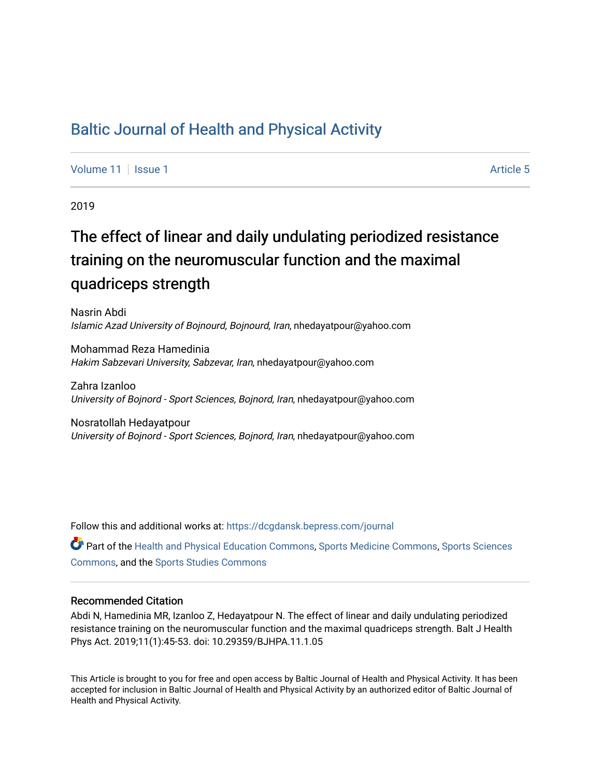# [Baltic Journal of Health and Physical Activity](https://dcgdansk.bepress.com/journal)

[Volume 11](https://dcgdansk.bepress.com/journal/vol11) | [Issue 1](https://dcgdansk.bepress.com/journal/vol11/iss1) Article 5

2019

# The effect of linear and daily undulating periodized resistance training on the neuromuscular function and the maximal quadriceps strength

Nasrin Abdi Islamic Azad University of Bojnourd, Bojnourd, Iran, nhedayatpour@yahoo.com

Mohammad Reza Hamedinia Hakim Sabzevari University, Sabzevar, Iran, nhedayatpour@yahoo.com

Zahra Izanloo University of Bojnord - Sport Sciences, Bojnord, Iran, nhedayatpour@yahoo.com

Nosratollah Hedayatpour University of Bojnord - Sport Sciences, Bojnord, Iran, nhedayatpour@yahoo.com

Follow this and additional works at: [https://dcgdansk.bepress.com/journal](https://dcgdansk.bepress.com/journal?utm_source=dcgdansk.bepress.com%2Fjournal%2Fvol11%2Fiss1%2F5&utm_medium=PDF&utm_campaign=PDFCoverPages)

Part of the [Health and Physical Education Commons](http://network.bepress.com/hgg/discipline/1327?utm_source=dcgdansk.bepress.com%2Fjournal%2Fvol11%2Fiss1%2F5&utm_medium=PDF&utm_campaign=PDFCoverPages), [Sports Medicine Commons,](http://network.bepress.com/hgg/discipline/1331?utm_source=dcgdansk.bepress.com%2Fjournal%2Fvol11%2Fiss1%2F5&utm_medium=PDF&utm_campaign=PDFCoverPages) [Sports Sciences](http://network.bepress.com/hgg/discipline/759?utm_source=dcgdansk.bepress.com%2Fjournal%2Fvol11%2Fiss1%2F5&utm_medium=PDF&utm_campaign=PDFCoverPages) [Commons](http://network.bepress.com/hgg/discipline/759?utm_source=dcgdansk.bepress.com%2Fjournal%2Fvol11%2Fiss1%2F5&utm_medium=PDF&utm_campaign=PDFCoverPages), and the [Sports Studies Commons](http://network.bepress.com/hgg/discipline/1198?utm_source=dcgdansk.bepress.com%2Fjournal%2Fvol11%2Fiss1%2F5&utm_medium=PDF&utm_campaign=PDFCoverPages) 

#### Recommended Citation

Abdi N, Hamedinia MR, Izanloo Z, Hedayatpour N. The effect of linear and daily undulating periodized resistance training on the neuromuscular function and the maximal quadriceps strength. Balt J Health Phys Act. 2019;11(1):45-53. doi: 10.29359/BJHPA.11.1.05

This Article is brought to you for free and open access by Baltic Journal of Health and Physical Activity. It has been accepted for inclusion in Baltic Journal of Health and Physical Activity by an authorized editor of Baltic Journal of Health and Physical Activity.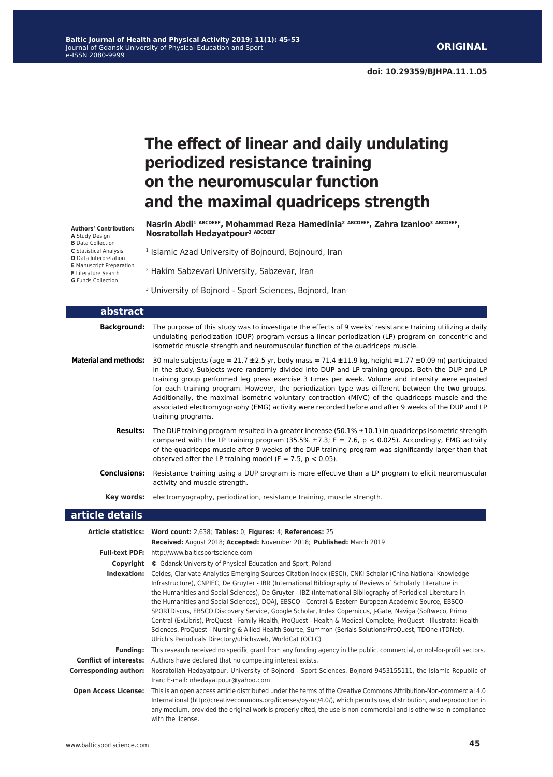# **The effect of linear and daily undulating periodized resistance training on the neuromuscular function and the maximal quadriceps strength**

**Nasrin Abdi<sup>1</sup> ABCDEEF, Mohammad Reza Hamedinia<sup>2</sup> ABCDEEF, Zahra Izanloo<sup>3</sup> ABCDEEF, Nosratollah Hedayatpour<sup>3</sup> ABCDEEF**

**Authors' Contribution: A** Study Design **B** Data Collection **C** Statistical Analysis **D** Data Interpretation

- **E** Manuscript Preparation
- **F** Literature Search
- **G** Funds Collection

<sup>3</sup> University of Bojnord - Sport Sciences, Bojnord, Iran

<sup>1</sup> Islamic Azad University of Bojnourd, Bojnourd, Iran

2 Hakim Sabzevari University, Sabzevar, Iran

| abstract                     |                                                                                                                                                                                                                                                                                                                                                                                                                                                                                                                                                                                                                                                                                                                                                                                                                                                               |
|------------------------------|---------------------------------------------------------------------------------------------------------------------------------------------------------------------------------------------------------------------------------------------------------------------------------------------------------------------------------------------------------------------------------------------------------------------------------------------------------------------------------------------------------------------------------------------------------------------------------------------------------------------------------------------------------------------------------------------------------------------------------------------------------------------------------------------------------------------------------------------------------------|
| <b>Background:</b>           | The purpose of this study was to investigate the effects of 9 weeks' resistance training utilizing a daily<br>undulating periodization (DUP) program versus a linear periodization (LP) program on concentric and<br>isometric muscle strength and neuromuscular function of the quadriceps muscle.                                                                                                                                                                                                                                                                                                                                                                                                                                                                                                                                                           |
| <b>Material and methods:</b> | 30 male subjects (age = $21.7 \pm 2.5$ yr, body mass = $71.4 \pm 11.9$ kg, height = 1.77 $\pm 0.09$ m) participated<br>in the study. Subjects were randomly divided into DUP and LP training groups. Both the DUP and LP<br>training group performed leg press exercise 3 times per week. Volume and intensity were equated<br>for each training program. However, the periodization type was different between the two groups.<br>Additionally, the maximal isometric voluntary contraction (MIVC) of the quadriceps muscle and the<br>associated electromyography (EMG) activity were recorded before and after 9 weeks of the DUP and LP<br>training programs.                                                                                                                                                                                             |
| <b>Results:</b>              | The DUP training program resulted in a greater increase $(50.1\% \pm 10.1)$ in quadriceps isometric strength<br>compared with the LP training program (35.5% $\pm$ 7.3; F = 7.6, p < 0.025). Accordingly, EMG activity<br>of the quadriceps muscle after 9 weeks of the DUP training program was significantly larger than that<br>observed after the LP training model ( $F = 7.5$ , $p < 0.05$ ).                                                                                                                                                                                                                                                                                                                                                                                                                                                           |
| <b>Conclusions:</b>          | Resistance training using a DUP program is more effective than a LP program to elicit neuromuscular<br>activity and muscle strength.                                                                                                                                                                                                                                                                                                                                                                                                                                                                                                                                                                                                                                                                                                                          |
| Key words:                   | electromyography, periodization, resistance training, muscle strength.                                                                                                                                                                                                                                                                                                                                                                                                                                                                                                                                                                                                                                                                                                                                                                                        |
| article details              |                                                                                                                                                                                                                                                                                                                                                                                                                                                                                                                                                                                                                                                                                                                                                                                                                                                               |
|                              | Article statistics: Word count: 2,638; Tables: 0; Figures: 4; References: 25<br>Received: August 2018; Accepted: November 2018; Published: March 2019                                                                                                                                                                                                                                                                                                                                                                                                                                                                                                                                                                                                                                                                                                         |
| <b>Full-text PDF:</b>        | http://www.balticsportscience.com                                                                                                                                                                                                                                                                                                                                                                                                                                                                                                                                                                                                                                                                                                                                                                                                                             |
| Copyright                    | © Gdansk University of Physical Education and Sport, Poland                                                                                                                                                                                                                                                                                                                                                                                                                                                                                                                                                                                                                                                                                                                                                                                                   |
| Indexation:                  | Celdes, Clarivate Analytics Emerging Sources Citation Index (ESCI), CNKI Scholar (China National Knowledge<br>Infrastructure), CNPIEC, De Gruyter - IBR (International Bibliography of Reviews of Scholarly Literature in<br>the Humanities and Social Sciences), De Gruyter - IBZ (International Bibliography of Periodical Literature in<br>the Humanities and Social Sciences), DOAJ, EBSCO - Central & Eastern European Academic Source, EBSCO -<br>SPORTDiscus, EBSCO Discovery Service, Google Scholar, Index Copernicus, J-Gate, Naviga (Softweco, Primo<br>Central (ExLibris), ProQuest - Family Health, ProQuest - Health & Medical Complete, ProQuest - Illustrata: Health<br>Sciences, ProQuest - Nursing & Allied Health Source, Summon (Serials Solutions/ProQuest, TDOne (TDNet),<br>Ulrich's Periodicals Directory/ulrichsweb, WorldCat (OCLC) |
|                              | Funding: This research received no specific grant from any funding agency in the public, commercial, or not-for-profit sectors.                                                                                                                                                                                                                                                                                                                                                                                                                                                                                                                                                                                                                                                                                                                               |
|                              | <b>Conflict of interests:</b> Authors have declared that no competing interest exists.                                                                                                                                                                                                                                                                                                                                                                                                                                                                                                                                                                                                                                                                                                                                                                        |
| <b>Corresponding author:</b> | Nosratollah Hedayatpour, University of Bojnord - Sport Sciences, Bojnord 9453155111, the Islamic Republic of<br>Iran; E-mail: nhedayatpour@yahoo.com                                                                                                                                                                                                                                                                                                                                                                                                                                                                                                                                                                                                                                                                                                          |
| <b>Open Access License:</b>  | This is an open access article distributed under the terms of the Creative Commons Attribution-Non-commercial 4.0<br>International (http://creativecommons.org/licenses/by-nc/4.0/), which permits use, distribution, and reproduction in<br>any medium, provided the original work is properly cited, the use is non-commercial and is otherwise in compliance                                                                                                                                                                                                                                                                                                                                                                                                                                                                                               |

with the license.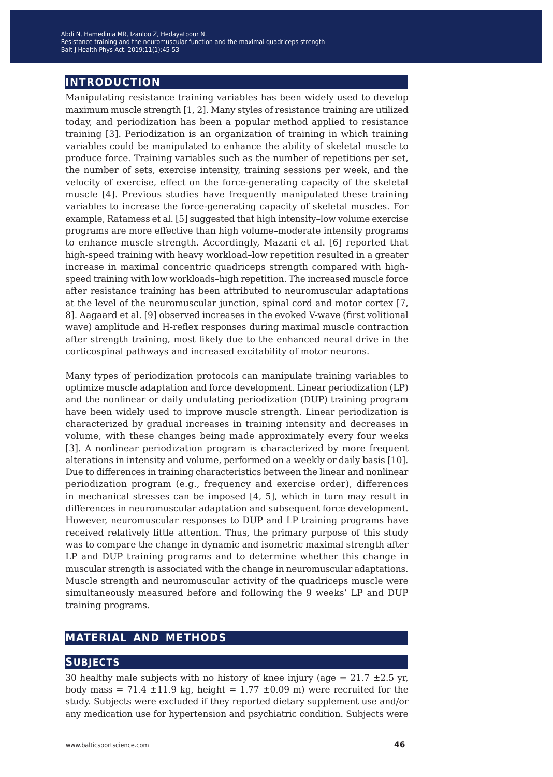# **introduction**

Manipulating resistance training variables has been widely used to develop maximum muscle strength [1, 2]. Many styles of resistance training are utilized today, and periodization has been a popular method applied to resistance training [3]. Periodization is an organization of training in which training variables could be manipulated to enhance the ability of skeletal muscle to produce force. Training variables such as the number of repetitions per set, the number of sets, exercise intensity, training sessions per week, and the velocity of exercise, effect on the force-generating capacity of the skeletal muscle [4]. Previous studies have frequently manipulated these training variables to increase the force-generating capacity of skeletal muscles. For example, Ratamess et al. [5] suggested that high intensity–low volume exercise programs are more effective than high volume–moderate intensity programs to enhance muscle strength. Accordingly, Mazani et al. [6] reported that high-speed training with heavy workload–low repetition resulted in a greater increase in maximal concentric quadriceps strength compared with highspeed training with low workloads–high repetition. The increased muscle force after resistance training has been attributed to neuromuscular adaptations at the level of the neuromuscular junction, spinal cord and motor cortex [7, 8]. Aagaard et al. [9] observed increases in the evoked V-wave (first volitional wave) amplitude and H-reflex responses during maximal muscle contraction after strength training, most likely due to the enhanced neural drive in the corticospinal pathways and increased excitability of motor neurons.

Many types of periodization protocols can manipulate training variables to optimize muscle adaptation and force development. Linear periodization (LP) and the nonlinear or daily undulating periodization (DUP) training program have been widely used to improve muscle strength. Linear periodization is characterized by gradual increases in training intensity and decreases in volume, with these changes being made approximately every four weeks [3]. A nonlinear periodization program is characterized by more frequent alterations in intensity and volume, performed on a weekly or daily basis [10]. Due to differences in training characteristics between the linear and nonlinear periodization program (e.g., frequency and exercise order), differences in mechanical stresses can be imposed [4, 5], which in turn may result in differences in neuromuscular adaptation and subsequent force development. However, neuromuscular responses to DUP and LP training programs have received relatively little attention. Thus, the primary purpose of this study was to compare the change in dynamic and isometric maximal strength after LP and DUP training programs and to determine whether this change in muscular strength is associated with the change in neuromuscular adaptations. Muscle strength and neuromuscular activity of the quadriceps muscle were simultaneously measured before and following the 9 weeks' LP and DUP training programs.

# **material and methods**

# **subjects**

30 healthy male subjects with no history of knee injury (age =  $21.7 \pm 2.5$  yr, body mass = 71.4  $\pm$ 11.9 kg, height = 1.77  $\pm$ 0.09 m) were recruited for the study. Subjects were excluded if they reported dietary supplement use and/or any medication use for hypertension and psychiatric condition. Subjects were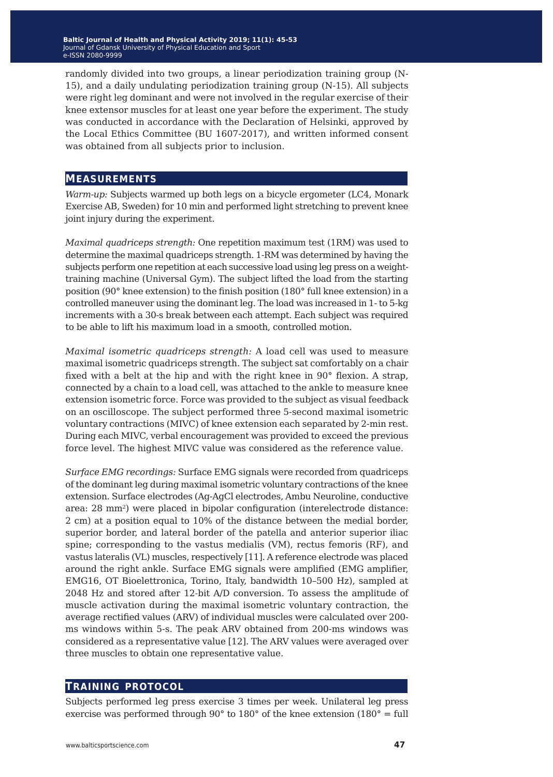randomly divided into two groups, a linear periodization training group (N-15), and a daily undulating periodization training group (N-15). All subjects were right leg dominant and were not involved in the regular exercise of their knee extensor muscles for at least one year before the experiment. The study was conducted in accordance with the Declaration of Helsinki, approved by the Local Ethics Committee (BU 1607-2017), and written informed consent was obtained from all subjects prior to inclusion.

#### **measurements**

*Warm-up:* Subjects warmed up both legs on a bicycle ergometer (LC4, Monark Exercise AB, Sweden) for 10 min and performed light stretching to prevent knee joint injury during the experiment.

*Maximal quadriceps strength:* One repetition maximum test (1RM) was used to determine the maximal quadriceps strength. 1-RM was determined by having the subjects perform one repetition at each successive load using leg press on a weighttraining machine (Universal Gym). The subject lifted the load from the starting position (90° knee extension) to the finish position (180° full knee extension) in a controlled maneuver using the dominant leg. The load was increased in 1- to 5-kg increments with a 30-s break between each attempt. Each subject was required to be able to lift his maximum load in a smooth, controlled motion.

*Maximal isometric quadriceps strength:* A load cell was used to measure maximal isometric quadriceps strength. The subject sat comfortably on a chair fixed with a belt at the hip and with the right knee in 90° flexion. A strap, connected by a chain to a load cell, was attached to the ankle to measure knee extension isometric force. Force was provided to the subject as visual feedback on an oscilloscope. The subject performed three 5-second maximal isometric voluntary contractions (MIVC) of knee extension each separated by 2-min rest. During each MIVC, verbal encouragement was provided to exceed the previous force level. The highest MIVC value was considered as the reference value.

*Surface EMG recordings:* Surface EMG signals were recorded from quadriceps of the dominant leg during maximal isometric voluntary contractions of the knee extension. Surface electrodes (Ag-AgCl electrodes, Ambu Neuroline, conductive area: 28 mm2) were placed in bipolar configuration (interelectrode distance: 2 cm) at a position equal to 10% of the distance between the medial border, superior border, and lateral border of the patella and anterior superior iliac spine; corresponding to the vastus medialis (VM), rectus femoris (RF), and vastus lateralis (VL) muscles, respectively [11]. A reference electrode was placed around the right ankle. Surface EMG signals were amplified (EMG amplifier, EMG16, OT Bioelettronica, Torino, Italy, bandwidth 10–500 Hz), sampled at 2048 Hz and stored after 12-bit A/D conversion. To assess the amplitude of muscle activation during the maximal isometric voluntary contraction, the average rectified values (ARV) of individual muscles were calculated over 200 ms windows within 5-s. The peak ARV obtained from 200-ms windows was considered as a representative value [12]. The ARV values were averaged over three muscles to obtain one representative value.

### **training protocol**

Subjects performed leg press exercise 3 times per week. Unilateral leg press exercise was performed through 90° to 180° of the knee extension (180° = full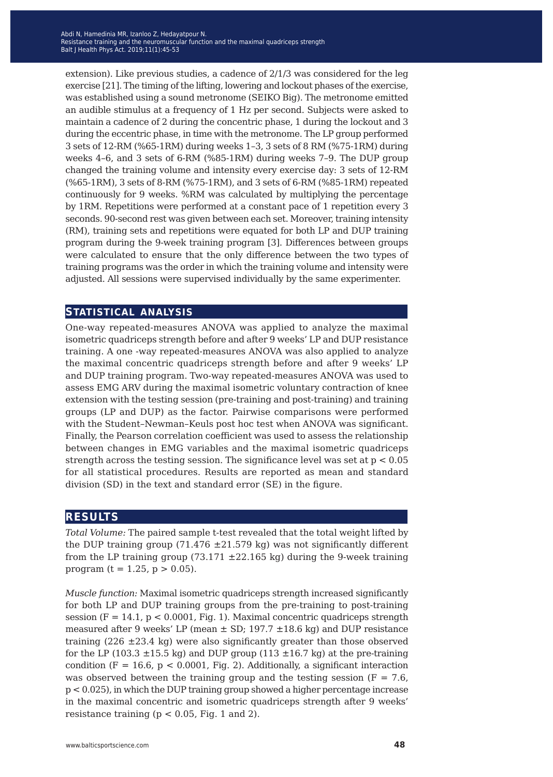extension). Like previous studies, a cadence of 2/1/3 was considered for the leg exercise [21]. The timing of the lifting, lowering and lockout phases of the exercise, was established using a sound metronome (SEIKO Big). The metronome emitted an audible stimulus at a frequency of 1 Hz per second. Subjects were asked to maintain a cadence of 2 during the concentric phase, 1 during the lockout and 3 during the eccentric phase, in time with the metronome. The LP group performed 3 sets of 12-RM (%65-1RM) during weeks 1–3, 3 sets of 8 RM (%75-1RM) during weeks 4–6, and 3 sets of 6-RM (%85-1RM) during weeks 7–9. The DUP group changed the training volume and intensity every exercise day: 3 sets of 12-RM (%65-1RM), 3 sets of 8-RM (%75-1RM), and 3 sets of 6-RM (%85-1RM) repeated continuously for 9 weeks. %RM was calculated by multiplying the percentage by 1RM. Repetitions were performed at a constant pace of 1 repetition every 3 seconds. 90-second rest was given between each set. Moreover, training intensity (RM), training sets and repetitions were equated for both LP and DUP training program during the 9-week training program [3]. Differences between groups were calculated to ensure that the only difference between the two types of training programs was the order in which the training volume and intensity were adjusted. All sessions were supervised individually by the same experimenter.

### **statistical analysis**

One-way repeated-measures ANOVA was applied to analyze the maximal isometric quadriceps strength before and after 9 weeks' LP and DUP resistance training. A one -way repeated-measures ANOVA was also applied to analyze the maximal concentric quadriceps strength before and after 9 weeks' LP and DUP training program. Two-way repeated-measures ANOVA was used to assess EMG ARV during the maximal isometric voluntary contraction of knee extension with the testing session (pre-training and post-training) and training groups (LP and DUP) as the factor. Pairwise comparisons were performed with the Student–Newman–Keuls post hoc test when ANOVA was significant. Finally, the Pearson correlation coefficient was used to assess the relationship between changes in EMG variables and the maximal isometric quadriceps strength across the testing session. The significance level was set at  $p < 0.05$ for all statistical procedures. Results are reported as mean and standard division (SD) in the text and standard error (SE) in the figure.

# **results**

*Total Volume:* The paired sample t-test revealed that the total weight lifted by the DUP training group (71.476  $\pm$ 21.579 kg) was not significantly different from the LP training group (73.171  $\pm$ 22.165 kg) during the 9-week training program (t = 1.25,  $p > 0.05$ ).

*Muscle function:* Maximal isometric quadriceps strength increased significantly for both LP and DUP training groups from the pre-training to post-training session ( $F = 14.1$ ,  $p < 0.0001$ , Fig. 1). Maximal concentric quadriceps strength measured after 9 weeks' LP (mean  $\pm$  SD; 197.7  $\pm$ 18.6 kg) and DUP resistance training  $(226 \pm 23.4 \text{ kg})$  were also significantly greater than those observed for the LP (103.3  $\pm$ 15.5 kg) and DUP group (113  $\pm$ 16.7 kg) at the pre-training condition (F = 16.6,  $p < 0.0001$ , Fig. 2). Additionally, a significant interaction was observed between the training group and the testing session ( $F = 7.6$ ) p < 0.025), in which the DUP training group showed a higher percentage increase in the maximal concentric and isometric quadriceps strength after 9 weeks' resistance training ( $p < 0.05$ , Fig. 1 and 2).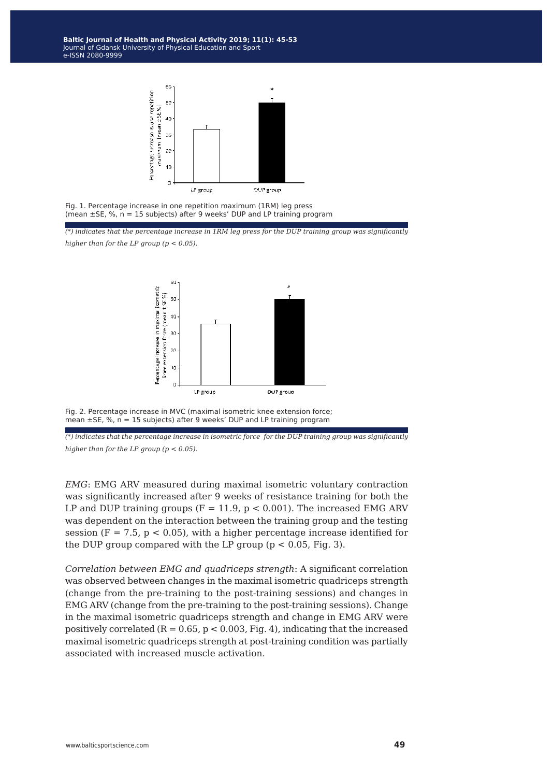**Baltic Journal of Health and Physical Activity 2014; 1(1): 1-4 Baltic Journal of Health and Physical Activity 2019; 11(1): 45-53** Journal of Gdansk University of Physical Education and Sport Journal of Gdansk University of Physical Education and Sport e-ISSN 2080-9999 e-ISSN 2080-9999



Fig. 1. Percentage increase in one repetition maximum (1RM) leg press (mean  $\pm$ SE, %, n = 15 subjects) after 9 weeks' DUP and LP training program

*(\*) indicates that the percentage increase in 1RM leg press for the DUP training group was significantly higher than for the LP group (p < 0.05).*



Fig. 2. Percentage increase in MVC (maximal isometric knee extension force; mean  $\pm$ SE, %,  $n = 15$  subjects) after 9 weeks' DUP and LP training program

*(\*) indicates that the percentage increase in isometric force for the DUP training group was significantly higher than for the LP group (p < 0.05).*

*EMG*: EMG ARV measured during maximal isometric voluntary contraction was significantly increased after 9 weeks of resistance training for both the LP and DUP training groups ( $F = 11.9$ ,  $p < 0.001$ ). The increased EMG ARV was dependent on the interaction between the training group and the testing session ( $F = 7.5$ ,  $p < 0.05$ ), with a higher percentage increase identified for the DUP group compared with the LP group ( $p < 0.05$ , Fig. 3).

*Correlation between EMG and quadriceps strength*: A significant correlation was observed between changes in the maximal isometric quadriceps strength (change from the pre-training to the post-training sessions) and changes in EMG ARV (change from the pre-training to the post-training sessions). Change in the maximal isometric quadriceps strength and change in EMG ARV were positively correlated  $(R = 0.65, p < 0.003, Fig. 4)$ , indicating that the increased maximal isometric quadriceps strength at post-training condition was partially associated with increased muscle activation.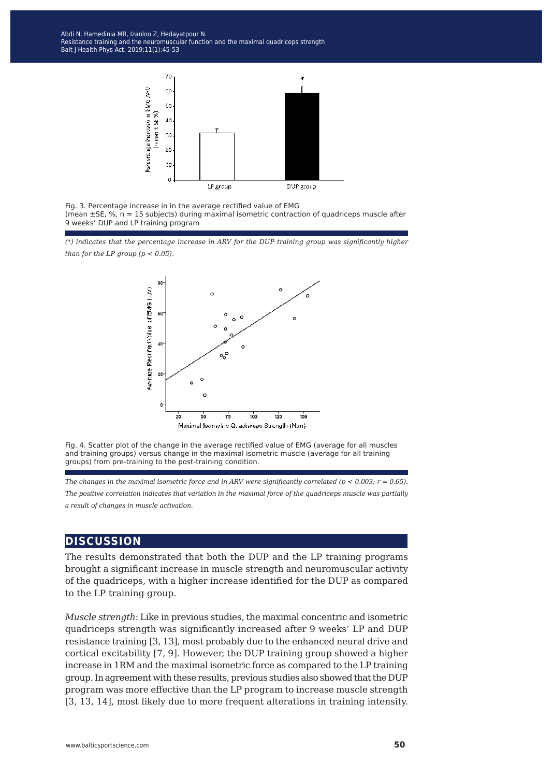Resistance training and the neuromuscular function and the maximal quadriceps strength Blood Kathleen after the Concentration balance after the submanistration of the prolonged submanistration of t<br>alt I Health Phys Act - 2019:11(1):45-53 Balt J Health Phys Act. 2019;11(1):45-53<br>———————————————————— Abdi N, Hamedinia MR, Izanloo Z, Hedayatpour N.



Fig. 3. Percentage increase in in the average rectified value of EMG (mean ±SE, %, n = 15 subjects) during maximal isometric contraction of quadriceps muscle after 9 weeks' DUP and LP training program

*(\*) indicates that the percentage increase in ARV for the DUP training group was significantly higher than for the LP group*  $(p < 0.05)$ *.* 



Fig. 4. Scatter plot of the change in the average rectified value of EMG (average for all muscles and training groups) versus change in the maximal isometric muscle (average for all training groups) from pre-training to the post-training condition.

*The changes in the maximal isometric force and in ARV were significantly correlated (p < 0.003; r = 0.65). The positive correlation indicates that variation in the maximal force of the quadriceps muscle was partially a result of changes in muscle activation.*

# **discussion**

The results demonstrated that both the DUP and the LP training programs brought a significant increase in muscle strength and neuromuscular activity of the quadriceps, with a higher increase identified for the DUP as compared to the LP training group.

*Muscle strength*: Like in previous studies, the maximal concentric and isometric quadriceps strength was significantly increased after 9 weeks' LP and DUP resistance training [3, 13], most probably due to the enhanced neural drive and cortical excitability [7, 9]. However, the DUP training group showed a higher increase in 1RM and the maximal isometric force as compared to the LP training group. In agreement with these results, previous studies also showed that the DUP program was more effective than the LP program to increase muscle strength [3, 13, 14], most likely due to more frequent alterations in training intensity.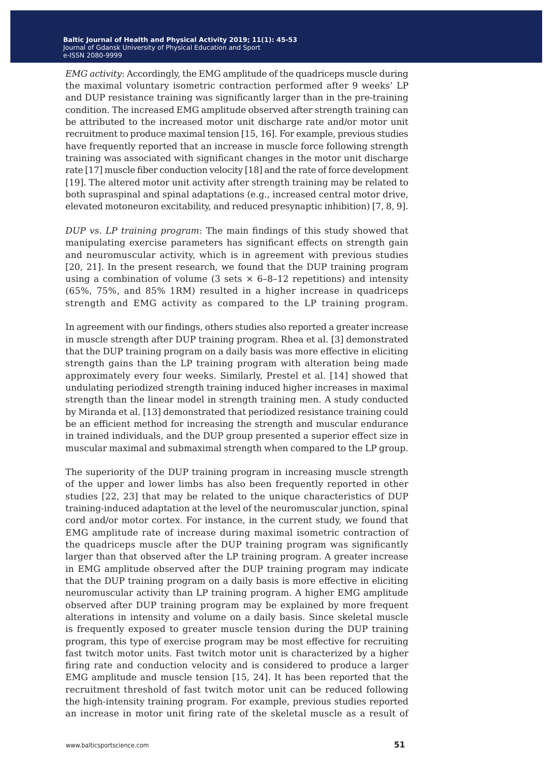*EMG activity*: Accordingly, the EMG amplitude of the quadriceps muscle during the maximal voluntary isometric contraction performed after 9 weeks' LP and DUP resistance training was significantly larger than in the pre-training condition. The increased EMG amplitude observed after strength training can be attributed to the increased motor unit discharge rate and/or motor unit recruitment to produce maximal tension [15, 16]. For example, previous studies have frequently reported that an increase in muscle force following strength training was associated with significant changes in the motor unit discharge rate [17] muscle fiber conduction velocity [18] and the rate of force development [19]. The altered motor unit activity after strength training may be related to both supraspinal and spinal adaptations (e.g., increased central motor drive, elevated motoneuron excitability, and reduced presynaptic inhibition) [7, 8, 9].

*DUP vs. LP training program*: The main findings of this study showed that manipulating exercise parameters has significant effects on strength gain and neuromuscular activity, which is in agreement with previous studies [20, 21]. In the present research, we found that the DUP training program using a combination of volume (3 sets  $\times$  6-8-12 repetitions) and intensity (65%, 75%, and 85% 1RM) resulted in a higher increase in quadriceps strength and EMG activity as compared to the LP training program.

In agreement with our findings, others studies also reported a greater increase in muscle strength after DUP training program. Rhea et al. [3] demonstrated that the DUP training program on a daily basis was more effective in eliciting strength gains than the LP training program with alteration being made approximately every four weeks. Similarly, Prestel et al. [14] showed that undulating periodized strength training induced higher increases in maximal strength than the linear model in strength training men. A study conducted by Miranda et al. [13] demonstrated that periodized resistance training could be an efficient method for increasing the strength and muscular endurance in trained individuals, and the DUP group presented a superior effect size in muscular maximal and submaximal strength when compared to the LP group.

The superiority of the DUP training program in increasing muscle strength of the upper and lower limbs has also been frequently reported in other studies [22, 23] that may be related to the unique characteristics of DUP training-induced adaptation at the level of the neuromuscular junction, spinal cord and/or motor cortex. For instance, in the current study, we found that EMG amplitude rate of increase during maximal isometric contraction of the quadriceps muscle after the DUP training program was significantly larger than that observed after the LP training program. A greater increase in EMG amplitude observed after the DUP training program may indicate that the DUP training program on a daily basis is more effective in eliciting neuromuscular activity than LP training program. A higher EMG amplitude observed after DUP training program may be explained by more frequent alterations in intensity and volume on a daily basis. Since skeletal muscle is frequently exposed to greater muscle tension during the DUP training program, this type of exercise program may be most effective for recruiting fast twitch motor units. Fast twitch motor unit is characterized by a higher firing rate and conduction velocity and is considered to produce a larger EMG amplitude and muscle tension [15, 24]. It has been reported that the recruitment threshold of fast twitch motor unit can be reduced following the high-intensity training program. For example, previous studies reported an increase in motor unit firing rate of the skeletal muscle as a result of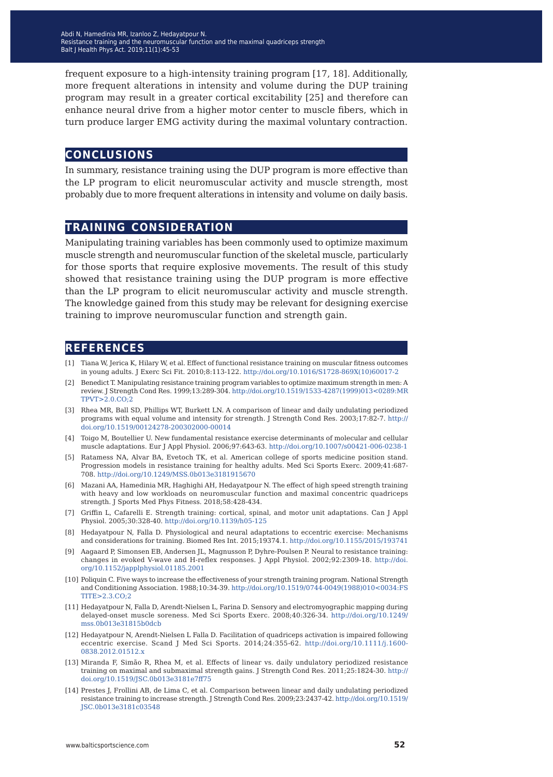frequent exposure to a high-intensity training program [17, 18]. Additionally, more frequent alterations in intensity and volume during the DUP training program may result in a greater cortical excitability [25] and therefore can enhance neural drive from a higher motor center to muscle fibers, which in turn produce larger EMG activity during the maximal voluntary contraction.

# **conclusions**

In summary, resistance training using the DUP program is more effective than the LP program to elicit neuromuscular activity and muscle strength, most probably due to more frequent alterations in intensity and volume on daily basis.

# **training consideration**

Manipulating training variables has been commonly used to optimize maximum muscle strength and neuromuscular function of the skeletal muscle, particularly for those sports that require explosive movements. The result of this study showed that resistance training using the DUP program is more effective than the LP program to elicit neuromuscular activity and muscle strength. The knowledge gained from this study may be relevant for designing exercise training to improve neuromuscular function and strength gain.

# **references**

- [1] Tiana W, Jerica K, Hilary W, et al. Effect of functional resistance training on muscular fitness outcomes in young adults. J Exerc Sci Fit. 2010;8:113-122. [http://doi.org/10.1016/S1728-869X\(10\)60017-2](http://doi.org/10.1016/S1728-869X(10)60017-2)
- [2] Benedict T. Manipulating resistance training program variables to optimize maximum strength in men: A review. J Strength Cond Res. 1999;13:289-304. [http://doi.org/10.1519/1533-4287\(1999\)013<0289:MR](http://doi.org/10.1519/1533-4287(1999)013<0289:MRTPVT>2.0.CO;2) [TPVT>2.0.CO;2](http://doi.org/10.1519/1533-4287(1999)013<0289:MRTPVT>2.0.CO;2)
- [3] Rhea MR, Ball SD, Phillips WT, Burkett LN. A comparison of linear and daily undulating periodized programs with equal volume and intensity for strength. J Strength Cond Res. 2003;17:82-7. [http://](http://doi.org/10.1519/00124278-200302000-00014) [doi.org/10.1519/00124278-200302000-00014](http://doi.org/10.1519/00124278-200302000-00014)
- [4] Toigo M, Boutellier U. New fundamental resistance exercise determinants of molecular and cellular muscle adaptations. Eur J Appl Physiol. 2006;97:643-63. <http://doi.org/10.1007/s00421-006-0238-1>
- [5] Ratamess NA, Alvar BA, Evetoch TK, et al. American college of sports medicine position stand. Progression models in resistance training for healthy adults. Med Sci Sports Exerc. 2009;41:687- 708. <http://doi.org/10.1249/MSS.0b013e3181915670>
- [6] Mazani AA, Hamedinia MR, Haghighi AH, Hedayatpour N. The effect of high speed strength training with heavy and low workloads on neuromuscular function and maximal concentric quadriceps strength. J Sports Med Phys Fitness. 2018;58:428-434.
- [7] Griffin L, Cafarelli E. Strength training: cortical, spinal, and motor unit adaptations. Can J Appl Physiol. 2005;30:328-40. <http://doi.org/10.1139/h05-125>
- [8] Hedayatpour N, Falla D. Physiological and neural adaptations to eccentric exercise: Mechanisms and considerations for training. Biomed Res Int. 2015;19374.1. <http://doi.org/10.1155/2015/193741>
- [9] Aagaard P, Simonsen EB, Andersen JL, Magnusson P, Dyhre-Poulsen P. Neural to resistance training: changes in evoked V-wave and H-reflex responses. J Appl Physiol. 2002;92:2309-18. [http://doi.](http://doi.org/10.1152/japplphysiol.01185.2001) [org/10.1152/japplphysiol.01185.2001](http://doi.org/10.1152/japplphysiol.01185.2001)
- [10] Poliquin C. Five ways to increase the effectiveness of your strength training program. National Strength and Conditioning Association. 1988;10:34-39. [http://doi.org/10.1519/0744-0049\(1988\)010<0034:FS](http://doi.org/10.1519/0744-0049(1988)010<0034:FSTITE>2.3.CO;2) [TITE>2.3.CO;2](http://doi.org/10.1519/0744-0049(1988)010<0034:FSTITE>2.3.CO;2)
- [11] Hedayatpour N, Falla D, Arendt-Nielsen L, Farina D. Sensory and electromyographic mapping during delayed-onset muscle soreness. Med Sci Sports Exerc. 2008;40:326-34. [http://doi.org/10.1249/](http://doi.org/10.1249/mss.0b013e31815b0dcb) [mss.0b013e31815b0dcb](http://doi.org/10.1249/mss.0b013e31815b0dcb)
- [12] Hedayatpour N, Arendt-Nielsen L Falla D. Facilitation of quadriceps activation is impaired following eccentric exercise. Scand J Med Sci Sports. 2014;24:355-62. [http://doi.org/10.1111/j.1600-](http://doi.org/10.1111/j.1600-0838.2012.01512.x
) [0838.2012.01512.x](http://doi.org/10.1111/j.1600-0838.2012.01512.x
)
- [13] Miranda F, Simão R, Rhea M, et al. Effects of linear vs. daily undulatory periodized resistance training on maximal and submaximal strength gains. J Strength Cond Res. 2011;25:1824-30. [http://](http://doi.org/10.1519/JSC.0b013e3181e7ff75) [doi.org/10.1519/JSC.0b013e3181e7ff75](http://doi.org/10.1519/JSC.0b013e3181e7ff75)
- [14] Prestes J, Frollini AB, de Lima C, et al. Comparison between linear and daily undulating periodized resistance training to increase strength. J Strength Cond Res. 2009;23:2437-42. [http://doi.org/10.1519/](http://doi.org/10.1519/JSC.0b013e3181c03548) [JSC.0b013e3181c03548](http://doi.org/10.1519/JSC.0b013e3181c03548)